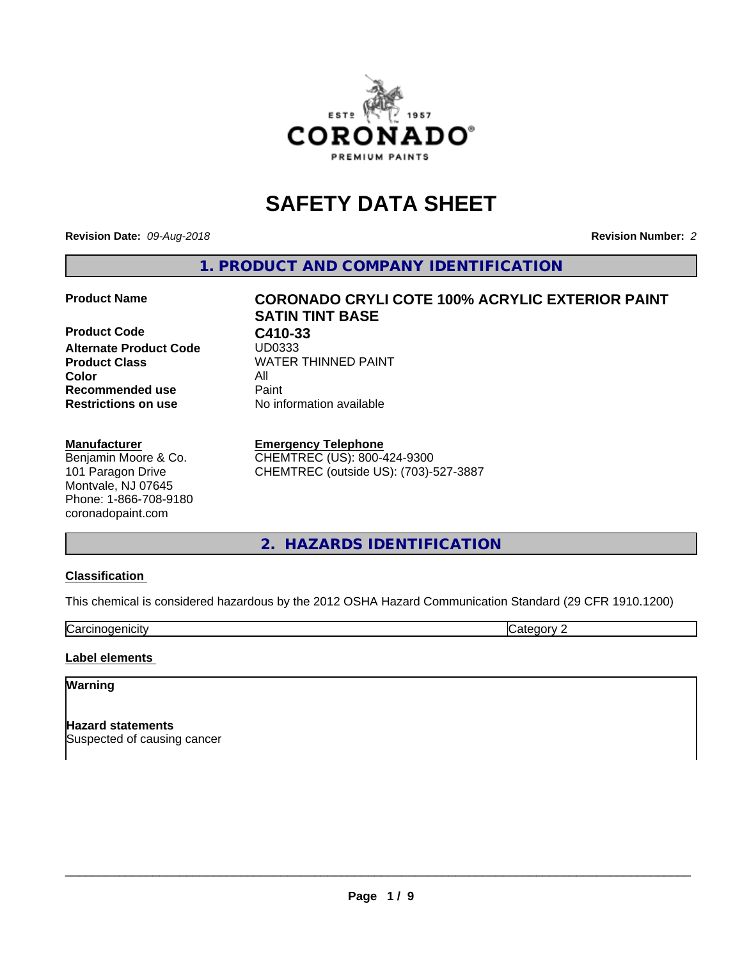

## **SAFETY DATA SHEET**

**Revision Date:** *09-Aug-2018* **Revision Number:** *2*

**1. PRODUCT AND COMPANY IDENTIFICATION**

**Product Code C410-33**<br>Alternate Product Code UD0333 **Alternate Product Code Color** All **Recommended use** Paint<br> **Restrictions on use** Mo information available **Restrictions on use** 

## **Manufacturer**

Benjamin Moore & Co. 101 Paragon Drive Montvale, NJ 07645 Phone: 1-866-708-9180 coronadopaint.com

# **Product Name CORONADO CRYLI COTE 100% ACRYLIC EXTERIOR PAINT SATIN TINT BASE Product Class** WATER THINNED PAINT<br>
Color

**Emergency Telephone** CHEMTREC (US): 800-424-9300

CHEMTREC (outside US): (703)-527-3887

**2. HAZARDS IDENTIFICATION**

## **Classification**

This chemical is considered hazardous by the 2012 OSHA Hazard Communication Standard (29 CFR 1910.1200)

**Carcinogenicity** Category 2

## **Label elements**

## **Warning**

**Hazard statements** Suspected of causing cancer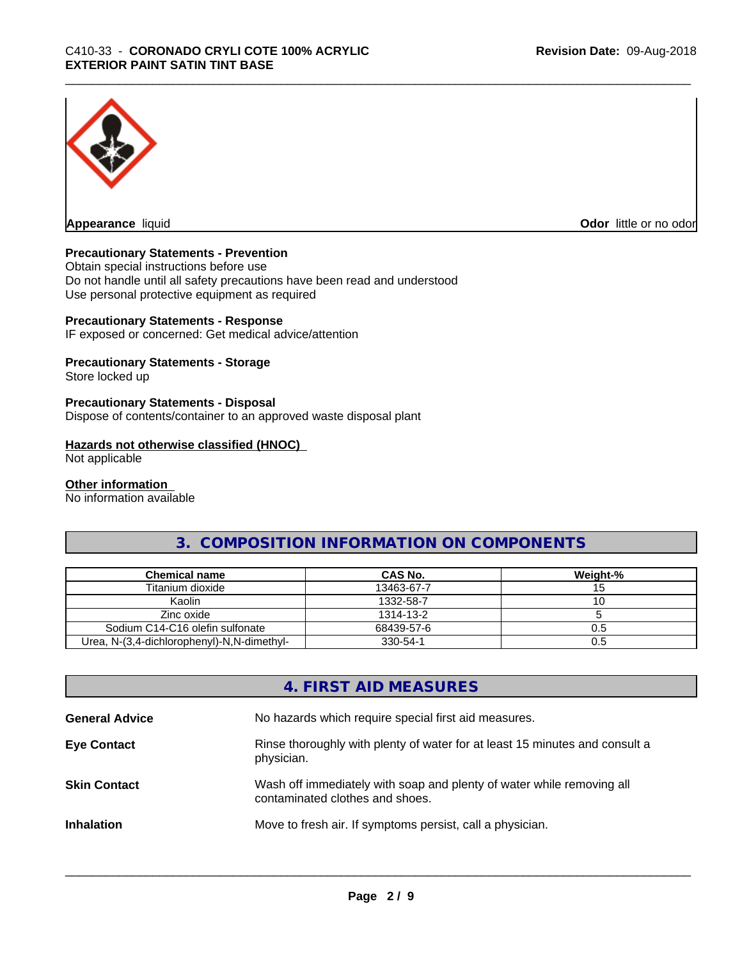

**Appearance** liquid **Odor in the original of the original of the original of the original of the original of the original of the original of the original of the original of the original of the original of the original of t** 

## **Precautionary Statements - Prevention**

Obtain special instructions before use Do not handle until all safety precautions have been read and understood Use personal protective equipment as required

## **Precautionary Statements - Response**

IF exposed or concerned: Get medical advice/attention

## **Precautionary Statements - Storage**

Store locked up

## **Precautionary Statements - Disposal**

Dispose of contents/container to an approved waste disposal plant

## **Hazards not otherwise classified (HNOC)**

Not applicable

## **Other information**

No information available

## **3. COMPOSITION INFORMATION ON COMPONENTS**

| Chemical name                              | CAS No.    | Weight-% |
|--------------------------------------------|------------|----------|
| Titanium dioxide                           | 13463-67-7 |          |
| Kaolin                                     | 1332-58-7  |          |
| Zinc oxide                                 | 1314-13-2  |          |
| Sodium C14-C16 olefin sulfonate            | 68439-57-6 | U.5      |
| Urea, N-(3,4-dichlorophenyl)-N,N-dimethyl- | 330-54-1   | ს.ხ      |

## **4. FIRST AID MEASURES**

| <b>General Advice</b> | No hazards which require special first aid measures.                                                     |
|-----------------------|----------------------------------------------------------------------------------------------------------|
| <b>Eye Contact</b>    | Rinse thoroughly with plenty of water for at least 15 minutes and consult a<br>physician.                |
| <b>Skin Contact</b>   | Wash off immediately with soap and plenty of water while removing all<br>contaminated clothes and shoes. |
| <b>Inhalation</b>     | Move to fresh air. If symptoms persist, call a physician.                                                |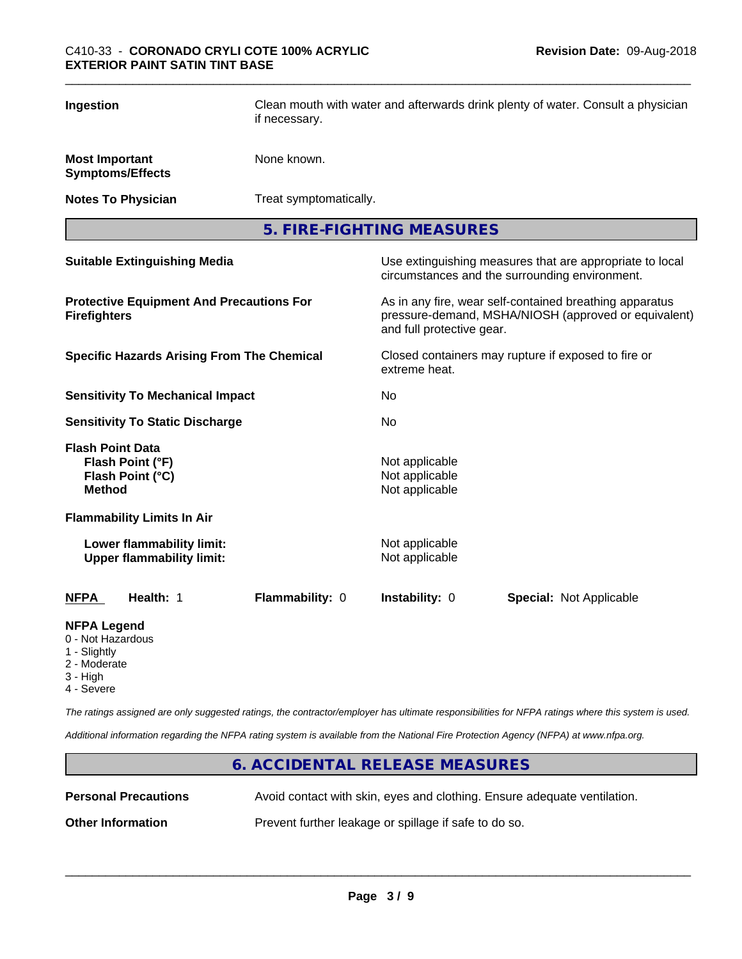| Ingestion                                                                           | if necessary.   | Clean mouth with water and afterwards drink plenty of water. Consult a physician                           |                                                                                                                 |  |  |  |
|-------------------------------------------------------------------------------------|-----------------|------------------------------------------------------------------------------------------------------------|-----------------------------------------------------------------------------------------------------------------|--|--|--|
| <b>Most Important</b><br><b>Symptoms/Effects</b>                                    | None known.     |                                                                                                            |                                                                                                                 |  |  |  |
| <b>Notes To Physician</b>                                                           |                 | Treat symptomatically.                                                                                     |                                                                                                                 |  |  |  |
|                                                                                     |                 | 5. FIRE-FIGHTING MEASURES                                                                                  |                                                                                                                 |  |  |  |
| <b>Suitable Extinguishing Media</b>                                                 |                 | Use extinguishing measures that are appropriate to local<br>circumstances and the surrounding environment. |                                                                                                                 |  |  |  |
| <b>Protective Equipment And Precautions For</b><br><b>Firefighters</b>              |                 | and full protective gear.                                                                                  | As in any fire, wear self-contained breathing apparatus<br>pressure-demand, MSHA/NIOSH (approved or equivalent) |  |  |  |
| <b>Specific Hazards Arising From The Chemical</b>                                   |                 | Closed containers may rupture if exposed to fire or<br>extreme heat.                                       |                                                                                                                 |  |  |  |
| <b>Sensitivity To Mechanical Impact</b>                                             |                 | No.                                                                                                        |                                                                                                                 |  |  |  |
| <b>Sensitivity To Static Discharge</b>                                              |                 | No.                                                                                                        |                                                                                                                 |  |  |  |
| <b>Flash Point Data</b><br>Flash Point (°F)<br>Flash Point (°C)<br><b>Method</b>    |                 | Not applicable<br>Not applicable<br>Not applicable                                                         |                                                                                                                 |  |  |  |
| <b>Flammability Limits In Air</b>                                                   |                 |                                                                                                            |                                                                                                                 |  |  |  |
| Lower flammability limit:<br><b>Upper flammability limit:</b>                       |                 | Not applicable<br>Not applicable                                                                           |                                                                                                                 |  |  |  |
| Health: 1<br><b>NFPA</b>                                                            | Flammability: 0 | Instability: 0                                                                                             | <b>Special: Not Applicable</b>                                                                                  |  |  |  |
| <b>NFPA Legend</b><br>0 - Not Hazardous<br>1 - Slightly<br>2 - Moderate<br>3 - High |                 |                                                                                                            |                                                                                                                 |  |  |  |

4 - Severe

*The ratings assigned are only suggested ratings, the contractor/employer has ultimate responsibilities for NFPA ratings where this system is used.*

*Additional information regarding the NFPA rating system is available from the National Fire Protection Agency (NFPA) at www.nfpa.org.*

## **6. ACCIDENTAL RELEASE MEASURES**

**Personal Precautions** Avoid contact with skin, eyes and clothing. Ensure adequate ventilation.

 $\overline{\phantom{a}}$  ,  $\overline{\phantom{a}}$  ,  $\overline{\phantom{a}}$  ,  $\overline{\phantom{a}}$  ,  $\overline{\phantom{a}}$  ,  $\overline{\phantom{a}}$  ,  $\overline{\phantom{a}}$  ,  $\overline{\phantom{a}}$  ,  $\overline{\phantom{a}}$  ,  $\overline{\phantom{a}}$  ,  $\overline{\phantom{a}}$  ,  $\overline{\phantom{a}}$  ,  $\overline{\phantom{a}}$  ,  $\overline{\phantom{a}}$  ,  $\overline{\phantom{a}}$  ,  $\overline{\phantom{a}}$ 

**Other Information** Prevent further leakage or spillage if safe to do so.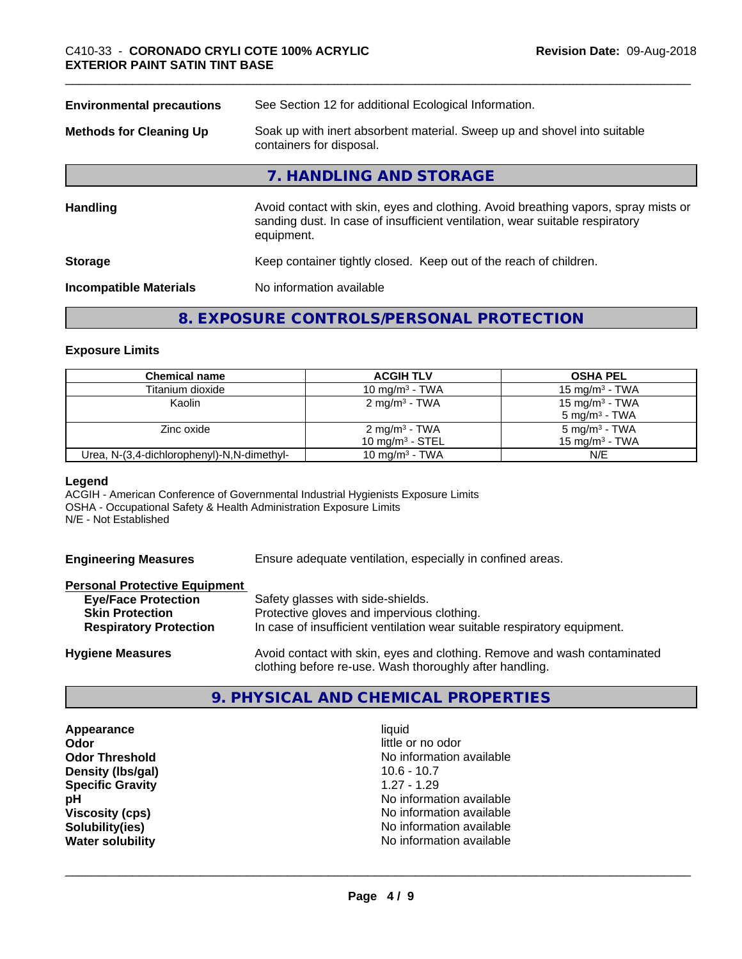| <b>Environmental precautions</b> | See Section 12 for additional Ecological Information.                                                                                                                            |  |
|----------------------------------|----------------------------------------------------------------------------------------------------------------------------------------------------------------------------------|--|
| <b>Methods for Cleaning Up</b>   | Soak up with inert absorbent material. Sweep up and shovel into suitable<br>containers for disposal.                                                                             |  |
|                                  | 7. HANDLING AND STORAGE                                                                                                                                                          |  |
| Handling                         | Avoid contact with skin, eyes and clothing. Avoid breathing vapors, spray mists or<br>sanding dust. In case of insufficient ventilation, wear suitable respiratory<br>equipment. |  |
| <b>Storage</b>                   | Keep container tightly closed. Keep out of the reach of children.                                                                                                                |  |
| <b>Incompatible Materials</b>    | No information available                                                                                                                                                         |  |
|                                  |                                                                                                                                                                                  |  |

## **8. EXPOSURE CONTROLS/PERSONAL PROTECTION**

## **Exposure Limits**

| <b>Chemical name</b>                       | <b>ACGIH TLV</b>                               | <b>OSHA PEL</b>                                        |
|--------------------------------------------|------------------------------------------------|--------------------------------------------------------|
| Titanium dioxide                           | 10 mg/m $3$ - TWA                              | 15 mg/m <sup>3</sup> - TWA                             |
| Kaolin                                     | $2 \text{ mg/m}^3$ - TWA                       | 15 mg/m <sup>3</sup> - TWA<br>$5 \text{ mg/m}^3$ - TWA |
| Zinc oxide                                 | $2 \text{ mg/m}^3$ - TWA<br>10 mg/m $3$ - STEL | $5 \text{ mg/m}^3$ - TWA<br>15 mg/m $3$ - TWA          |
| Urea, N-(3,4-dichlorophenyl)-N,N-dimethyl- | 10 mg/m $3$ - TWA                              | N/E                                                    |

## **Legend**

ACGIH - American Conference of Governmental Industrial Hygienists Exposure Limits OSHA - Occupational Safety & Health Administration Exposure Limits N/E - Not Established

**Engineering Measures** Ensure adequate ventilation, especially in confined areas.

#### **Personal Protective Equipment**

| <b>Eye/Face Protection</b><br><b>Skin Protection</b><br><b>Respiratory Protection</b> | Safety glasses with side-shields.<br>Protective gloves and impervious clothing.<br>In case of insufficient ventilation wear suitable respiratory equipment. |
|---------------------------------------------------------------------------------------|-------------------------------------------------------------------------------------------------------------------------------------------------------------|
| <b>Hygiene Measures</b>                                                               | Avoid contact with skin, eyes and clothing. Remove and wash contaminated                                                                                    |

## **9. PHYSICAL AND CHEMICAL PROPERTIES**

clothing before re-use. Wash thoroughly after handling.

**Appearance** liquid **Odor** little or no odor **Density (lbs/gal)** 10.6 - 10.7 **Specific Gravity** 1.27 - 1.29

**Odor Threshold** No information available **pH** No information available **Viscosity (cps)**  $\blacksquare$  No information available<br> **Solubility (ies)** Solubility (ies) **No information available Water solubility Water solubility Water solubility Water solubility Water solubility Water solution**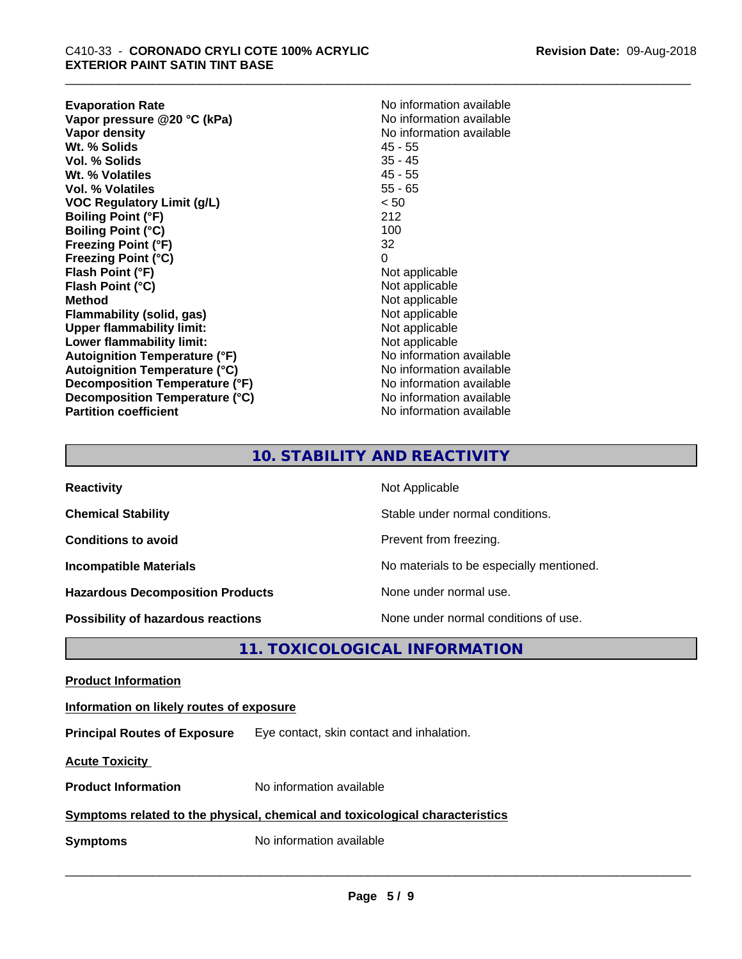| <b>Evaporation Rate</b>              | No information available |
|--------------------------------------|--------------------------|
| Vapor pressure @20 °C (kPa)          | No information available |
| Vapor density                        | No information available |
| Wt. % Solids                         | 45 - 55                  |
| Vol. % Solids                        | $35 - 45$                |
| Wt. % Volatiles                      | $45 - 55$                |
| <b>Vol. % Volatiles</b>              | $55 - 65$                |
| VOC Regulatory Limit (g/L)           | < 50                     |
| <b>Boiling Point (°F)</b>            | 212                      |
| <b>Boiling Point (°C)</b>            | 100                      |
| <b>Freezing Point (°F)</b>           | 32                       |
| Freezing Point (°C)                  | 0                        |
| Flash Point (°F)                     | Not applicable           |
| Flash Point (°C)                     | Not applicable           |
| Method                               | Not applicable           |
| Flammability (solid, gas)            | Not applicable           |
| <b>Upper flammability limit:</b>     | Not applicable           |
| Lower flammability limit:            | Not applicable           |
| <b>Autoignition Temperature (°F)</b> | No information available |
| <b>Autoignition Temperature (°C)</b> | No information available |
| Decomposition Temperature (°F)       | No information available |
| Decomposition Temperature (°C)       | No information available |
| <b>Partition coefficient</b>         | No information available |
|                                      |                          |

## **10. STABILITY AND REACTIVITY**

| <b>Reactivity</b>                         | Not Applicable                           |
|-------------------------------------------|------------------------------------------|
| <b>Chemical Stability</b>                 | Stable under normal conditions.          |
| <b>Conditions to avoid</b>                | Prevent from freezing.                   |
| <b>Incompatible Materials</b>             | No materials to be especially mentioned. |
| <b>Hazardous Decomposition Products</b>   | None under normal use.                   |
| <b>Possibility of hazardous reactions</b> | None under normal conditions of use.     |

**11. TOXICOLOGICAL INFORMATION**

**Product Information**

## **Information on likely routes of exposure**

**Principal Routes of Exposure** Eye contact, skin contact and inhalation.

**Acute Toxicity** 

**Product Information** No information available

## **Symptoms related to the physical, chemical and toxicological characteristics**

**Symptoms** No information available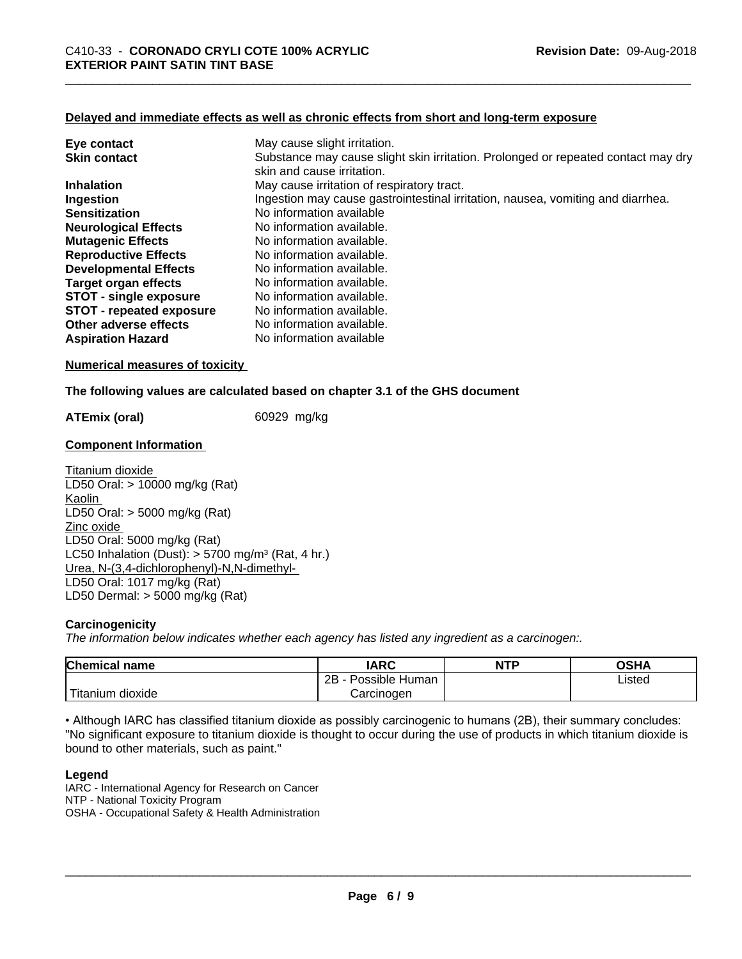## **Delayed and immediate effects as well as chronic effects from short and long-term exposure**

| Eye contact                     | May cause slight irritation.                                                      |
|---------------------------------|-----------------------------------------------------------------------------------|
| <b>Skin contact</b>             | Substance may cause slight skin irritation. Prolonged or repeated contact may dry |
|                                 | skin and cause irritation.                                                        |
| <b>Inhalation</b>               | May cause irritation of respiratory tract.                                        |
| Ingestion                       | Ingestion may cause gastrointestinal irritation, nausea, vomiting and diarrhea.   |
| <b>Sensitization</b>            | No information available                                                          |
| <b>Neurological Effects</b>     | No information available.                                                         |
| <b>Mutagenic Effects</b>        | No information available.                                                         |
| <b>Reproductive Effects</b>     | No information available.                                                         |
| <b>Developmental Effects</b>    | No information available.                                                         |
| Target organ effects            | No information available.                                                         |
| <b>STOT - single exposure</b>   | No information available.                                                         |
| <b>STOT - repeated exposure</b> | No information available.                                                         |
| Other adverse effects           | No information available.                                                         |
| <b>Aspiration Hazard</b>        | No information available                                                          |

#### **Numerical measures of toxicity**

#### **The following values are calculated based on chapter 3.1 of the GHS document**

**ATEmix (oral)** 60929 mg/kg

#### **Component Information**

Titanium dioxide LD50 Oral: > 10000 mg/kg (Rat) Kaolin LD50 Oral: > 5000 mg/kg (Rat) Zinc oxide LD50 Oral: 5000 mg/kg (Rat) LC50 Inhalation (Dust):  $> 5700$  mg/m<sup>3</sup> (Rat, 4 hr.) Urea, N-(3,4-dichlorophenyl)-N,N-dimethyl- LD50 Oral: 1017 mg/kg (Rat) LD50 Dermal: > 5000 mg/kg (Rat)

## **Carcinogenicity**

*The information below indicateswhether each agency has listed any ingredient as a carcinogen:.*

| <b>Chemical</b><br>name                                                                                                                         | <b>IARC</b>                   | <b>NTP</b> | <b>OSHA</b> |  |
|-------------------------------------------------------------------------------------------------------------------------------------------------|-------------------------------|------------|-------------|--|
|                                                                                                                                                 | .<br>2B<br>≞Human<br>Possible |            | ∟isted      |  |
| <b>The Contract of the Contract of the Contract of the Contract of the Contract of the Contract of the Contract o</b><br>n dioxide<br>l itanium | Carcinogen                    |            |             |  |

• Although IARC has classified titanium dioxide as possibly carcinogenic to humans (2B), their summary concludes: "No significant exposure to titanium dioxide is thought to occur during the use of products in which titanium dioxide is bound to other materials, such as paint."

## **Legend**

IARC - International Agency for Research on Cancer NTP - National Toxicity Program OSHA - Occupational Safety & Health Administration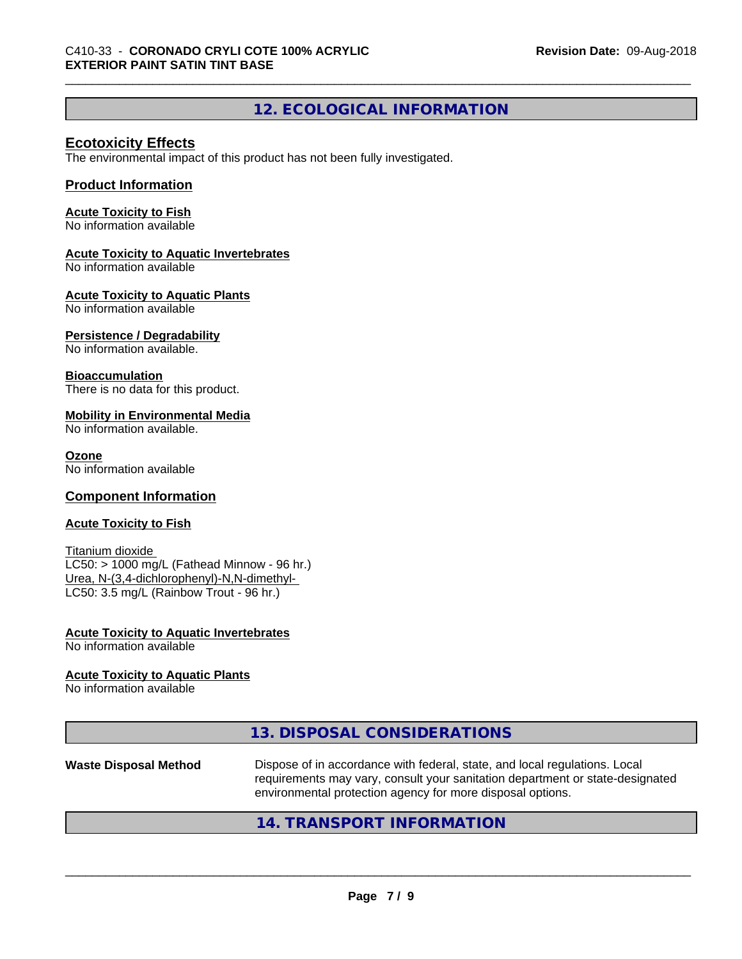## **12. ECOLOGICAL INFORMATION**

## **Ecotoxicity Effects**

The environmental impact of this product has not been fully investigated.

## **Product Information**

## **Acute Toxicity to Fish**

No information available

## **Acute Toxicity to Aquatic Invertebrates**

No information available

## **Acute Toxicity to Aquatic Plants**

No information available

## **Persistence / Degradability**

No information available.

## **Bioaccumulation**

There is no data for this product.

## **Mobility in Environmental Media**

No information available.

## **Ozone**

No information available

## **Component Information**

## **Acute Toxicity to Fish**

Titanium dioxide  $LC50:$  > 1000 mg/L (Fathead Minnow - 96 hr.) Urea, N-(3,4-dichlorophenyl)-N,N-dimethyl- LC50: 3.5 mg/L (Rainbow Trout - 96 hr.)

#### **Acute Toxicity to Aquatic Invertebrates** No information available

## **Acute Toxicity to Aquatic Plants**

No information available

|--|

## **Waste Disposal Method** Dispose of in accordance with federal, state, and local regulations. Local requirements may vary, consult your sanitation department or state-designated environmental protection agency for more disposal options.

## **14. TRANSPORT INFORMATION**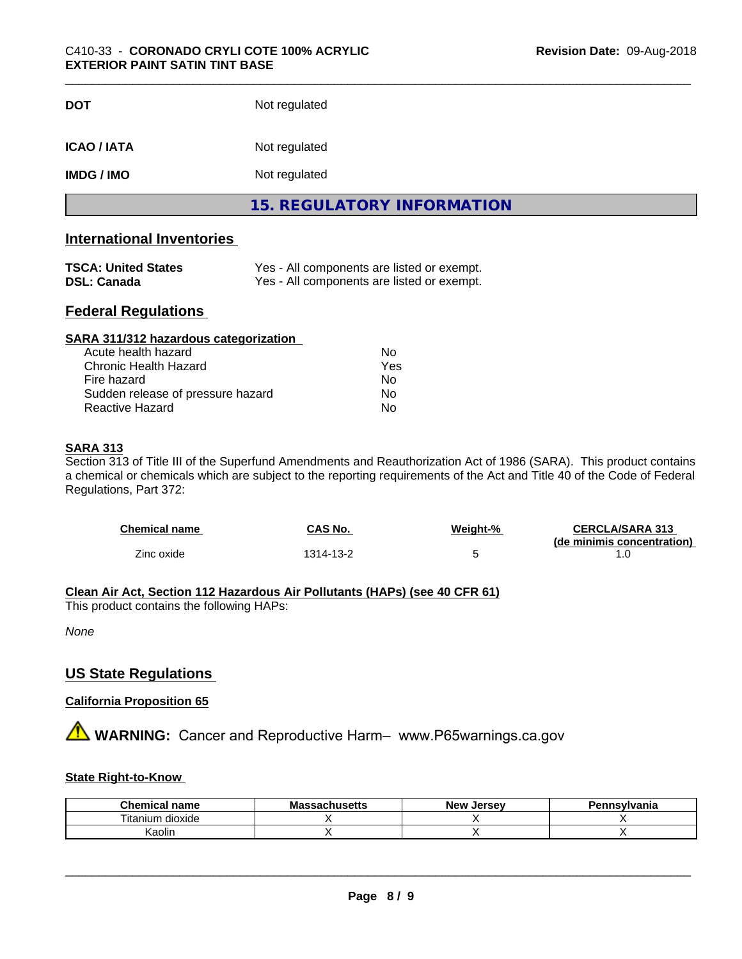| <b>DOT</b>         | Not regulated                     |  |
|--------------------|-----------------------------------|--|
| <b>ICAO / IATA</b> | Not regulated                     |  |
| <b>IMDG / IMO</b>  | Not regulated                     |  |
|                    | <b>15. REGULATORY INFORMATION</b> |  |

## **International Inventories**

| <b>TSCA: United States</b> | Yes - All components are listed or exempt. |
|----------------------------|--------------------------------------------|
| <b>DSL: Canada</b>         | Yes - All components are listed or exempt. |

## **Federal Regulations**

| SARA 311/312 hazardous categorization |     |  |
|---------------------------------------|-----|--|
| Acute health hazard                   | Nο  |  |
| Chronic Health Hazard                 | Yes |  |
| Fire hazard                           | Nο  |  |
| Sudden release of pressure hazard     | Nο  |  |
| Reactive Hazard                       | No  |  |

## **SARA 313**

Section 313 of Title III of the Superfund Amendments and Reauthorization Act of 1986 (SARA). This product contains a chemical or chemicals which are subject to the reporting requirements of the Act and Title 40 of the Code of Federal Regulations, Part 372:

| <b>Chemical name</b> | CAS No.  | Weight-% | <b>CERCLA/SARA 313</b><br>(de minimis concentration) |
|----------------------|----------|----------|------------------------------------------------------|
| Zinc oxide           | 314-13-2 |          |                                                      |

## **Clean Air Act,Section 112 Hazardous Air Pollutants (HAPs) (see 40 CFR 61)**

This product contains the following HAPs:

*None*

## **US State Regulations**

## **California Proposition 65**

**A** WARNING: Cancer and Reproductive Harm– www.P65warnings.ca.gov

## **State Right-to-Know**

| Chr<br>name<br><b>Ami</b> | ---<br>МE<br>aliluacua | Jersev<br><b>New</b> | <br>anıa |
|---------------------------|------------------------|----------------------|----------|
| litanium<br>dioxide       |                        |                      |          |
| Kaolin                    |                        |                      |          |